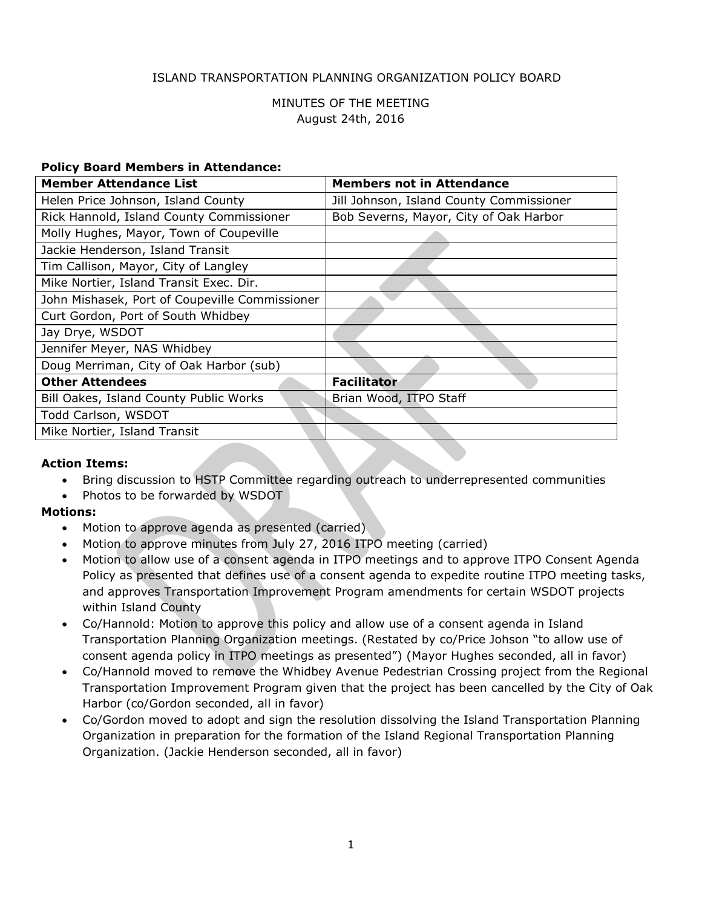### ISLAND TRANSPORTATION PLANNING ORGANIZATION POLICY BOARD

## MINUTES OF THE MEETING August 24th, 2016

#### **Policy Board Members in Attendance:**

| <b>Member Attendance List</b>                  | <b>Members not in Attendance</b>         |
|------------------------------------------------|------------------------------------------|
| Helen Price Johnson, Island County             | Jill Johnson, Island County Commissioner |
| Rick Hannold, Island County Commissioner       | Bob Severns, Mayor, City of Oak Harbor   |
| Molly Hughes, Mayor, Town of Coupeville        |                                          |
| Jackie Henderson, Island Transit               |                                          |
| Tim Callison, Mayor, City of Langley           |                                          |
| Mike Nortier, Island Transit Exec. Dir.        |                                          |
| John Mishasek, Port of Coupeville Commissioner |                                          |
| Curt Gordon, Port of South Whidbey             |                                          |
| Jay Drye, WSDOT                                |                                          |
| Jennifer Meyer, NAS Whidbey                    |                                          |
| Doug Merriman, City of Oak Harbor (sub)        |                                          |
| <b>Other Attendees</b>                         | <b>Facilitator</b>                       |
| Bill Oakes, Island County Public Works         | Brian Wood, ITPO Staff                   |
| Todd Carlson, WSDOT                            |                                          |
| Mike Nortier, Island Transit                   |                                          |
|                                                |                                          |

### **Action Items:**

- Bring discussion to HSTP Committee regarding outreach to underrepresented communities
- Photos to be forwarded by WSDOT

### **Motions:**

- Motion to approve agenda as presented (carried).
- Motion to approve minutes from July 27, 2016 ITPO meeting (carried)
- Motion to allow use of a consent agenda in ITPO meetings and to approve ITPO Consent Agenda Policy as presented that defines use of a consent agenda to expedite routine ITPO meeting tasks, and approves Transportation Improvement Program amendments for certain WSDOT projects within Island County
- Co/Hannold: Motion to approve this policy and allow use of a consent agenda in Island Transportation Planning Organization meetings. (Restated by co/Price Johson "to allow use of consent agenda policy in ITPO meetings as presented") (Mayor Hughes seconded, all in favor)
- Co/Hannold moved to remove the Whidbey Avenue Pedestrian Crossing project from the Regional Transportation Improvement Program given that the project has been cancelled by the City of Oak Harbor (co/Gordon seconded, all in favor)
- Co/Gordon moved to adopt and sign the resolution dissolving the Island Transportation Planning Organization in preparation for the formation of the Island Regional Transportation Planning Organization. (Jackie Henderson seconded, all in favor)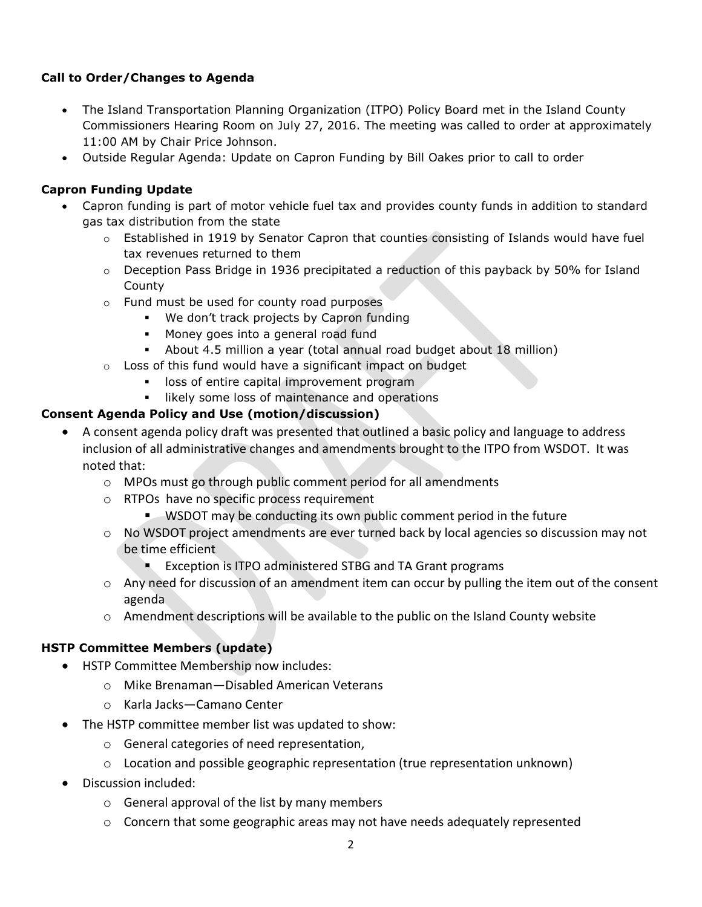## **Call to Order/Changes to Agenda**

- The Island Transportation Planning Organization (ITPO) Policy Board met in the Island County Commissioners Hearing Room on July 27, 2016. The meeting was called to order at approximately 11:00 AM by Chair Price Johnson.
- Outside Regular Agenda: Update on Capron Funding by Bill Oakes prior to call to order

# **Capron Funding Update**

- Capron funding is part of motor vehicle fuel tax and provides county funds in addition to standard gas tax distribution from the state
	- $\circ$  Established in 1919 by Senator Capron that counties consisting of Islands would have fuel tax revenues returned to them
	- o Deception Pass Bridge in 1936 precipitated a reduction of this payback by 50% for Island County
	- o Fund must be used for county road purposes
		- We don't track projects by Capron funding
		- **Money goes into a general road fund**
		- About 4.5 million a year (total annual road budget about 18 million)
	- $\circ$  Loss of this fund would have a significant impact on budget
		- **IDED** loss of entire capital improvement program
		- likely some loss of maintenance and operations

# **Consent Agenda Policy and Use (motion/discussion)**

- A consent agenda policy draft was presented that outlined a basic policy and language to address inclusion of all administrative changes and amendments brought to the ITPO from WSDOT. It was noted that:
	- o MPOs must go through public comment period for all amendments
	- o RTPOs have no specific process requirement
		- WSDOT may be conducting its own public comment period in the future
	- $\circ$  No WSDOT project amendments are ever turned back by local agencies so discussion may not be time efficient
		- **EXCEPTION IS ITPO administered STBG and TA Grant programs**
	- $\circ$  Any need for discussion of an amendment item can occur by pulling the item out of the consent agenda
	- o Amendment descriptions will be available to the public on the Island County website

# **HSTP Committee Members (update)**

- HSTP Committee Membership now includes:
	- o Mike Brenaman—Disabled American Veterans
	- o Karla Jacks—Camano Center
- The HSTP committee member list was updated to show:
	- o General categories of need representation,
	- $\circ$  Location and possible geographic representation (true representation unknown)
- Discussion included:
	- o General approval of the list by many members
	- $\circ$  Concern that some geographic areas may not have needs adequately represented